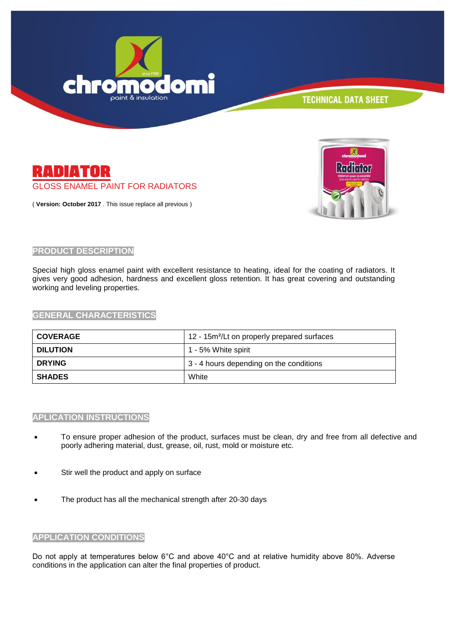



( **Version: October 2017** . This issue replace all previous )



### **PRODUCT DESCRIPTION**

Special high gloss enamel paint with excellent resistance to heating, ideal for the coating of radiators. It gives very good adhesion, hardness and excellent gloss retention. It has great covering and outstanding working and leveling properties.

#### **GENERAL CHARACTERISTICS**

| <b>COVERAGE</b> | 12 - 15m <sup>2</sup> /Lt on properly prepared surfaces |
|-----------------|---------------------------------------------------------|
| <b>DILUTION</b> | 1 - 5% White spirit                                     |
| <b>DRYING</b>   | 3 - 4 hours depending on the conditions                 |
| <b>SHADES</b>   | White                                                   |

#### **APLICATION INSTRUCTIONS**

- To ensure proper adhesion of the product, surfaces must be clean, dry and free from all defective and poorly adhering material, dust, grease, oil, rust, mold or moisture etc.
- Stir well the product and apply on surface
- The product has all the mechanical strength after 20-30 days

#### **APPLICATION CONDITIONS**

Do not apply at temperatures below 6°C and above 40°C and at relative humidity above 80%. Adverse conditions in the application can alter the final properties of product.